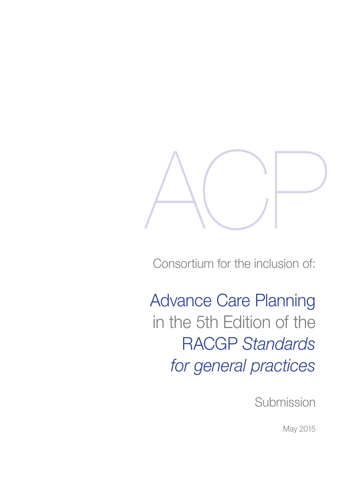

Consortium for the inclusion of:

Advance Care Planning in the 5th Edition of the RACGP *Standards for general practices*

**Submission** 

May 2015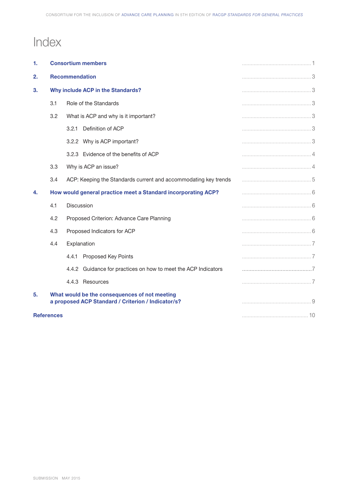# Index

| 1.                | <b>Consortium members</b>                                                                           |                                                                 |  |
|-------------------|-----------------------------------------------------------------------------------------------------|-----------------------------------------------------------------|--|
| 2.                | <b>Recommendation</b>                                                                               |                                                                 |  |
| 3.                | Why include ACP in the Standards?                                                                   |                                                                 |  |
|                   | 3.1                                                                                                 | Role of the Standards                                           |  |
|                   | 3.2                                                                                                 | What is ACP and why is it important?                            |  |
|                   |                                                                                                     | Definition of ACP<br>3.2.1                                      |  |
|                   |                                                                                                     | 3.2.2 Why is ACP important?                                     |  |
|                   |                                                                                                     | 3.2.3 Evidence of the benefits of ACP                           |  |
|                   | 3.3                                                                                                 | Why is ACP an issue?                                            |  |
|                   | 3.4                                                                                                 | ACP: Keeping the Standards current and accommodating key trends |  |
| 4.                |                                                                                                     | How would general practice meet a Standard incorporating ACP?   |  |
|                   | 4.1                                                                                                 | Discussion                                                      |  |
|                   | 4.2                                                                                                 | Proposed Criterion: Advance Care Planning                       |  |
|                   | 4.3                                                                                                 | Proposed Indicators for ACP                                     |  |
|                   | 4.4                                                                                                 | Explanation                                                     |  |
|                   |                                                                                                     | 4.4.1 Proposed Key Points                                       |  |
|                   |                                                                                                     | 4.4.2 Guidance for practices on how to meet the ACP Indicators  |  |
|                   |                                                                                                     | 4.4.3 Resources                                                 |  |
| 5.                | What would be the consequences of not meeting<br>a proposed ACP Standard / Criterion / Indicator/s? |                                                                 |  |
| <b>References</b> |                                                                                                     |                                                                 |  |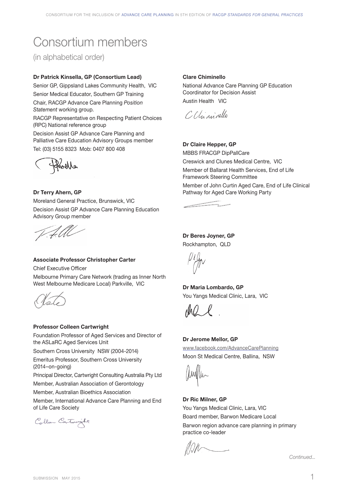# Consortium members

(in alphabetical order)

# **Dr Patrick Kinsella, GP (Consortium Lead)**

Senior GP, Gippsland Lakes Community Health, VIC Senior Medical Educator, Southern GP Training Chair, RACGP Advance Care Planning *Position Statement* working group. RACGP Representative on Respecting Patient Choices

(RPC) National reference group Decision Assist GP Advance Care Planning and Palliative Care Education Advisory Groups member Tel: (03) 5155 8323 Mob: 0407 800 408



# **Dr Terry Ahern, GP**

Moreland General Practice, Brunswick, VIC Decision Assist GP Advance Care Planning Education Advisory Group member

All

# **Associate Professor Christopher Carter**

Chief Executive Officer

Melbourne Primary Care Network (trading as Inner North West Melbourne Medicare Local) Parkville, VIC

## **Professor Colleen Cartwright**

Foundation Professor of Aged Services and Director of the ASLaRC Aged Services Unit

Southern Cross University NSW (2004-2014)

Emeritus Professor, Southern Cross University (2014–on-going)

Principal Director, Cartwright Consulting Australia Pty Ltd Member, Australian Association of Gerontology

Member, Australian Bioethics Association

Member, International Advance Care Planning and End of Life Care Society

Colleen Cartwright

#### **Clare Chiminello**

National Advance Care Planning GP Education Coordinator for Decision Assist Austin Health VIC

C Climininello

# **Dr Claire Hepper, GP**

MBBS FRACGP DipPallCare Creswick and Clunes Medical Centre, VIC Member of Ballarat Health Services, End of Life Framework Steering Committee Member of John Curtin Aged Care, End of Life Clinical Pathway for Aged Care Working Party

 $\frac{1}{2}$ 

# **Dr Beres Joyner, GP**

Rockhampton, QLD

**Dr Maria Lombardo, GP** You Yangs Medical Clinic, Lara, VIC

 $\mathcal{N}(\mathcal{N})=\mathcal{N}(\mathcal{N})$ 

## **Dr Jerome Mellor, GP**

www.facebook.com/AdvanceCarePlanning Moon St Medical Centre, Ballina, NSW

# **Dr Ric Milner, GP**

You Yangs Medical Clinic, Lara, VIC Board member, Barwon Medicare Local Barwon region advance care planning in primary practice co-leader

*Continued...*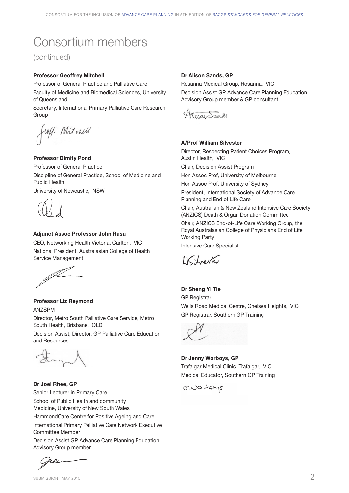# Consortium members

(continued)

# **Professor Geoffrey Mitchell**

Professor of General Practice and Palliative Care Faculty of Medicine and Biomedical Sciences, University of Queensland

Secretary, International Primary Palliative Care Research Group

Croff. Mitchell

# **Professor Dimity Pond**

Professor of General Practice Discipline of General Practice, School of Medicine and Public Health University of Newcastle, NSW

## **Adjunct Assoc Professor John Rasa**

CEO, Networking Health Victoria, Carlton, VIC National President, Australasian College of Health Service Management

JU

# **Professor Liz Reymond** ANZSPM

Director, Metro South Palliative Care Service, Metro South Health, Brisbane, QLD

Decision Assist, Director, GP Palliative Care Education and Resources



# **Dr Joel Rhee, GP**

Senior Lecturer in Primary Care School of Public Health and community Medicine, University of New South Wales

HammondCare Centre for Positive Ageing and Care International Primary Palliative Care Network Executive Committee Member

Decision Assist GP Advance Care Planning Education Advisory Group member

fr øs

# **Dr Alison Sands, GP**

Rosanna Medical Group, Rosanna, VIC Decision Assist GP Advance Care Planning Education Advisory Group member & GP consultant

Ating Sounds

## **A/Prof William Silvester**

Director, Respecting Patient Choices Program, Austin Health, VIC Chair, Decision Assist Program Hon Assoc Prof, University of Melbourne Hon Assoc Prof, University of Sydney President, International Society of Advance Care Planning and End of Life Care Chair, Australian & New Zealand Intensive Care Society (ANZICS) Death & Organ Donation Committee Chair, ANZICS End-of-Life Care Working Group, the Royal Australasian College of Physicians End of Life Working Party Intensive Care Specialist

LIChrenter

**Dr Sheng Yi Tie**  GP Registrar Wells Road Medical Centre, Chelsea Heights, VIC GP Registrar, Southern GP Training



**Dr Jenny Worboys, GP** Trafalgar Medical Clinic, Trafalgar, VIC Medical Educator, Southern GP Training

JWarbays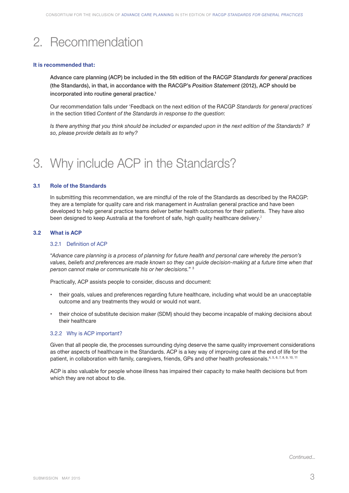# 2. Recommendation

#### **It is recommended that:**

Advance care planning (ACP) be included in the 5th edition of the RACGP *Standards for general practices*  (the Standards), in that, in accordance with the RACGP's *Position Statement* (2012), ACP should be incorporated into routine general practice.<sup>1</sup>

Our recommendation falls under 'Feedback on the next edition of the RACGP *Standards for general practices'* in the section titled *Content of the Standards in response to the question*:

*Is there anything that you think should be included or expanded upon in the next edition of the Standards? If so, please provide details as to why?*

# 3. Why include ACP in the Standards?

# **3.1 Role of the Standards**

In submitting this recommendation, we are mindful of the role of the Standards as described by the RACGP: they are a template for quality care and risk management in Australian general practice and have been developed to help general practice teams deliver better health outcomes for their patients. They have also been designed to keep Australia at the forefront of safe, high quality healthcare delivery.<sup>2</sup>

#### **3.2 What is ACP**

#### 3.2.1 Definition of ACP

"*Advance care planning is a process of planning for future health and personal care whereby the person's*  values, beliefs and preferences are made known so they can guide decision-making at a future time when that *person cannot make or communicate his or her decisions.*" 3

Practically, ACP assists people to consider, discuss and document:

- their goals, values and preferences regarding future healthcare, including what would be an unacceptable outcome and any treatments they would or would not want.
- their choice of substitute decision maker (SDM) should they become incapable of making decisions about their healthcare

## 3.2.2 Why is ACP important?

Given that all people die, the processes surrounding dying deserve the same quality improvement considerations as other aspects of healthcare in the Standards. ACP is a key way of improving care at the end of life for the patient, in collaboration with family, caregivers, friends, GPs and other health professionals.<sup>4, 5, 6, 7, 8, 9, 10, 11</sup>

ACP is also valuable for people whose illness has impaired their capacity to make health decisions but from which they are not about to die.

*Continued...*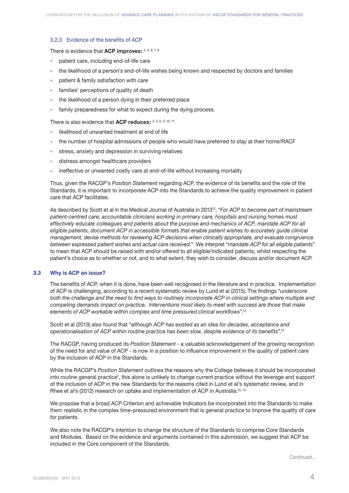## 3.2.3 Evidence of the benefits of ACP

There is evidence that **ACP improves:** 4, 5, 6, 7, 8

- patient care, including end-of-life care
- <sup>l</sup> the likelihood of a person's end-of-life wishes being known and respected by doctors and families
- patient & family satisfaction with care
- families' perceptions of quality of death
- the likelihood of a person dying in their preferred place
- family preparedness for what to expect during the dying process.

There is also evidence that **ACP reduces:** 4, 5, 6, 9, 10, 11

- likelihood of unwanted treatment at end of life
- <sup>l</sup> the number of hospital admissions of people who would have preferred to stay at their home/RACF
- stress, anxiety and depression in surviving relatives
- distress amongst healthcare providers
- ineffective or unwanted costly care at end-of-life without increasing mortality

Thus, given the RACGP's *Position Statement* regarding ACP, the evidence of its benefits and the role of the Standards, it is important to incorporate ACP into the Standards to achieve the quality improvement in patient care that ACP facilitates.

As described by Scott et al in the Medical Journal of Australia in 201312, "*For ACP to become part of mainstream patient-centred care, accountable clinicians working in primary care, hospitals and nursing homes must*  effectively educate colleagues and patients about the purpose and mechanics of ACP, mandate ACP for all *eligible patients, document ACP in accessible formats that enable patient wishes to accurately guide clinical management, devise methods for reviewing ACP decisions when clinically appropriate, and evaluate congruence between expressed patient wishes and actual care received.*" We interpret "*mandate ACP for all eligible patients*" to mean that ACP should be raised with and/or offered to all eligible/indicated patients, whilst respecting the patient's choice as to whether or not, and to what extent, they wish to consider, discuss and/or document ACP.

# **3.3 Why is ACP an issue?**

The benefits of ACP, when it is done, have been well recognised in the literature and in practice. Implementation of ACP is challenging, according to a recent systematic review by Lund et al (2015). The findings "*underscore*  both the challenge and the need to find ways to routinely incorporate ACP in clinical settings where multiple and *competing demands impact on practice. Interventions most likely to meet with success are those that make elements of ACP workable within complex and time pressured clinical workflows*".13

Scott et al (2013) also found that "*although ACP has existed as an idea for decades, acceptance and operationalisation of ACP within routine practice has been slow, despite evidence of its benefits*".12

The RACGP, having produced its *Position Statement* - a valuable acknowledgement of the growing recognition of the need for and value of ACP - is now in a position to influence improvement in the quality of patient care by the inclusion of ACP in the Standards.

While the RACGP's *Position Statement* outlines the reasons why the College believes it should be incorporated into routine general practice', this alone is unlikely to change current practice without the leverage and support of the inclusion of ACP in the new Standards for the reasons cited in Lund et al's systematic review, and in Rhee et al's (2012) research on uptake and implementation of ACP in Australia.<sup>13, 14</sup>

We propose that a broad ACP Criterion and achievable Indicators be incorporated into the Standards to make them realistic in the complex time-pressured environment that is general practice to improve the quality of care for patients.

We also note the RACGP's intention to change the structure of the Standards to comprise Core Standards and Modules. Based on the evidence and arguments contained in this submission, we suggest that ACP be included in the Core component of the Standards.

*Continued...*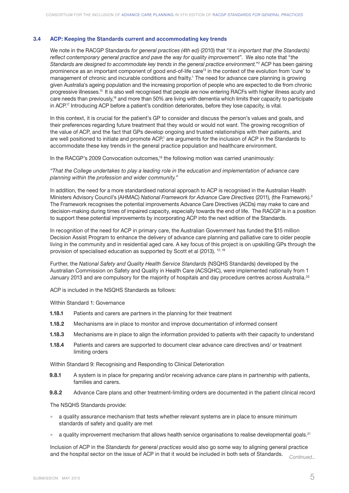# **3.4 ACP: Keeping the Standards current and accommodating key trends**

We note in the RACGP Standards *for general practices (4th ed)* (2010) that "*it is important that (the Standards) reflect contemporary general practice and pave the way for quality improvement*". We also note that "*the Standards are designed to accommodate key trends in the general practice environment.*"2 ACP has been gaining prominence as an important component of good end-of-life care<sup>13</sup> in the context of the evolution from 'cure' to management of chronic and incurable conditions and frailty.<sup>1</sup> The need for advance care planning is growing given Australia's ageing population and the increasing proportion of people who are expected to die from chronic progressive illnesses.15 It is also well recognised that people are now entering RACFs with higher illness acuity and care needs than previously,<sup>16</sup> and more than 50% are living with dementia which limits their capacity to participate in ACP.17 Introducing ACP before a patient's condition deteriorates, before they lose capacity, is vital.

In this context, it is crucial for the patient's GP to consider and discuss the person's values and goals, and their preferences regarding future treatment that they would or would not want. The growing recognition of the value of ACP, and the fact that GPs develop ongoing and trusted relationships with their patients, and are well positioned to initiate and promote ACP,' are arguments for the inclusion of ACP in the Standards to accommodate these key trends in the general practice population and healthcare environment.

In the RACGP's 2009 Convocation outcomes,<sup>18</sup> the following motion was carried unanimously:

*"That the College undertakes to play a leading role in the education and implementation of advance care planning within the profession and wider community."*

In addition, the need for a more standardised national approach to ACP is recognised in the Australian Health Ministers Advisory Council's (AHMAC) *National Framework for Advance Care Directives* (2011), (the Framework).3 The Framework recognises the potential improvements Advance Care Directives (ACDs) may make to care and decision-making during times of impaired capacity, especially towards the end of life. The RACGP is in a position to support these potential improvements by incorporating ACP into the next edition of the Standards.

In recognition of the need for ACP in primary care, the Australian Government has funded the \$15 million Decision Assist Program to enhance the delivery of advance care planning and palliative care to older people living in the community and in residential aged care. A key focus of this project is on upskilling GPs through the provision of specialised education as supported by Scott et al (2013). <sup>12, 19</sup>

Further, the *National Safety and Quality Health Service Standards* (NSQHS Standards) developed by the Australian Commission on Safety and Quality in Health Care (ACSQHC), were implemented nationally from 1 January 2013 and are compulsory for the majority of hospitals and day procedure centres across Australia.<sup>20</sup>

ACP is included in the NSQHS Standards as follows:

Within Standard 1: Governance

- **1.18.1** Patients and carers are partners in the planning for their treatment
- **1.18.2** Mechanisms are in place to monitor and improve documentation of informed consent
- **1.18.3** Mechanisms are in place to align the information provided to patients with their capacity to understand
- **1.18.4** Patients and carers are supported to document clear advance care directives and/ or treatment limiting orders

Within Standard 9: Recognising and Responding to Clinical Deterioration

- **9.8.1** A system is in place for preparing and/or receiving advance care plans in partnership with patients, families and carers.
- **9.8.2** Advance Care plans and other treatment-limiting orders are documented in the patient clinical record

The NSQHS Standards provide:

- a quality assurance mechanism that tests whether relevant systems are in place to ensure minimum standards of safety and quality are met
- a quality improvement mechanism that allows health service organisations to realise developmental goals.<sup>21</sup>

Inclusion of ACP in the *Standards for general practices* would also go some way to aligning general practice and the hospital sector on the issue of ACP in that it would be included in both sets of Standards. *Continued...*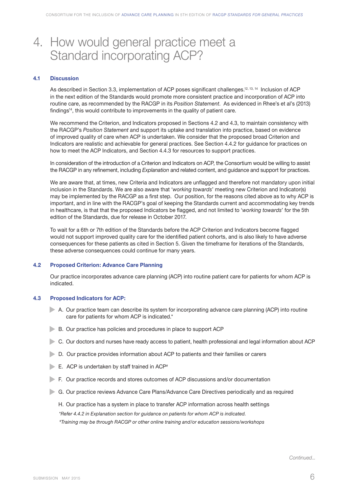# 4. How would general practice meet a Standard incorporating ACP?

#### **4.1 Discussion**

As described in Section 3.3, implementation of ACP poses significant challenges.<sup>12, 13, 14</sup> Inclusion of ACP in the next edition of the Standards would promote more consistent practice and incorporation of ACP into routine care, as recommended by the RACGP in its *Position Statement*. As evidenced in Rhee's et al's (2013) findings<sup>14</sup>, this would contribute to improvements in the quality of patient care.

We recommend the Criterion, and Indicators proposed in Sections 4.2 and 4.3, to maintain consistency with the RACGP's *Position Statement* and support its uptake and translation into practice, based on evidence of improved quality of care when ACP is undertaken. We consider that the proposed broad Criterion and Indicators are realistic and achievable for general practices. See Section 4.4.2 for guidance for practices on how to meet the ACP Indicators, and Section 4.4.3 for resources to support practices.

In consideration of the introduction of a Criterion and Indicators on ACP, the Consortium would be willing to assist the RACGP in any refinement, including *Explanation* and related content, and guidance and support for practices.

We are aware that, at times, new Criteria and Indicators are unflagged and therefore not mandatory upon initial inclusion in the Standards. We are also aware that '*working towards*' meeting new Criterion and Indicator(s) may be implemented by the RACGP as a first step. Our position, for the reasons cited above as to why ACP is important, and in line with the RACGP's goal of keeping the Standards current and accommodating key trends in healthcare, is that that the proposed Indicators be flagged, and not limited to '*working towards*' for the 5th edition of the Standards, due for release in October 2017.

To wait for a 6th or 7th edition of the Standards before the ACP Criterion and Indicators become flagged would not support improved quality care for the identified patient cohorts, and is also likely to have adverse consequences for these patients as cited in Section 5. Given the timeframe for iterations of the Standards, these adverse consequences could continue for many years.

# **4.2 Proposed Criterion: Advance Care Planning**

Our practice incorporates advance care planning (ACP) into routine patient care for patients for whom ACP is indicated.

#### **4.3 Proposed Indicators for ACP:**

- A. Our practice team can describe its system for incorporating advance care planning (ACP) into routine care for patients for whom ACP is indicated.\*
- B. Our practice has policies and procedures in place to support ACP
- C. Our doctors and nurses have ready access to patient, health professional and legal information about ACP
- D. Our practice provides information about ACP to patients and their families or carers
- $\blacktriangleright$  E. ACP is undertaken by staff trained in ACP#
- F. Our practice records and stores outcomes of ACP discussions and/or documentation
- G. Our practice reviews Advance Care Plans/Advance Care Directives periodically and as required
	- H. Our practice has a system in place to transfer ACP information across health settings

*\*Refer 4.4.2 in Explanation section for guidance on patients for whom ACP is indicated.*

*# Training may be through RACGP or other online training and/or education sessions/workshops*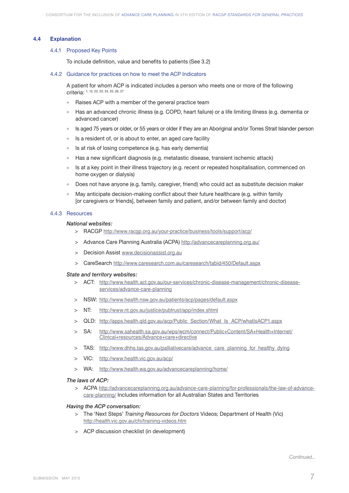#### **4.4 Explanation**

#### 4.4.1 Proposed Key Points

 To include definition, value and benefits to patients (See 3.2)

#### 4.4.2 Guidance for practices on how to meet the ACP Indicators

A patient for whom ACP is indicated includes a person who meets one or more of the following criteria: 1, 12, 22, 23, 24, 25, 26, 27

- Raises ACP with a member of the general practice team
- Has an advanced chronic illness (e.g. COPD, heart failure) or a life limiting illness (e.g. dementia or advanced cancer)
- <sup>l</sup> Is aged 75 years or older, or 55 years or older if they are an Aboriginal and/or Torres Strait Islander person
- Is a resident of, or is about to enter, an aged care facility
- $\bullet$  Is at risk of losing competence (e.g. has early dementia)
- $\blacksquare$  Has a new significant diagnosis (e.g. metatastic disease, transient ischemic attack)
- Is at a key point in their illness trajectory (e.g. recent or repeated hospitalisation, commenced on home oxygen or dialysis)
- Does not have anyone (e.g. family, caregiver, friend) who could act as substitute decision maker
- May anticipate decision-making conflict about their future healthcare (e.g. within family [or caregivers or friends], between family and patient, and/or between family and doctor)

#### 4.4.3 Resources

# *National websites:*

- > RACGP http://www.racgp.org.au/your-practice/business/tools/support/acp/
- > Advance Care Planning Australia (ACPA) http://advancecareplanning.org.au/
- > Decision Assist www.decisionassist.org.au
- > CareSearch http://www.caresearch.com.au/caresearch/tabid/450/Default.aspx

#### *State and territory websites:*

- > ACT: http://www.health.act.gov.au/our-services/chronic-disease-management/chronic-diseaseservices/advance-care-planning
- > NSW: http://www.health.nsw.gov.au/patients/acp/pages/default.aspx
- > NT: http://www.nt.gov.au/justice/pubtrust/app/index.shtml
- > QLD: http://apps.health.qld.gov.au/acp/Public\_Section/What\_Is\_ACP/whatIsACP1.aspx
- > SA: http://www.sahealth.sa.gov.au/wps/wcm/connect/Public+Content/SA+Health+Internet/ Clinical+resources/Advance+care+directive
- > TAS: http://www.dhhs.tas.gov.au/palliativecare/advance\_care\_planning\_for\_healthy\_dying
- > VIC: http://www.health.vic.gov.au/acp/
- > WA: http://www.health.wa.gov.au/advancecareplanning/home/

# *The laws of ACP:*

> ACPA http://advancecareplanning.org.au/advance-care-planning/for-professionals/the-law-of-advancecare-planning/ Includes information for all Australian States and Territories

# *Having the ACP conversation:*

- > The 'Next Steps' *Training Resources for Doctors* Videos; Department of Health (Vic) http://health.vic.gov.au/chi/training-videos.htm
- > ACP discussion checklist (in development)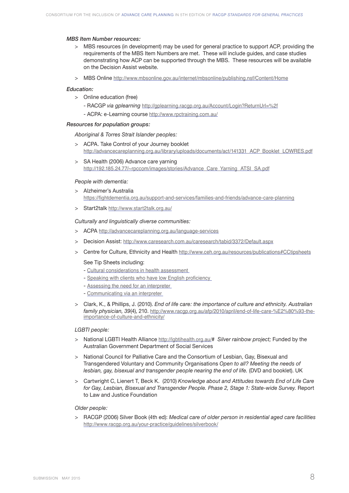#### *MBS Item Number resources:*

- > MBS resources (in development) may be used for general practice to support ACP, providing the requirements of the MBS Item Numbers are met. These will include guides, and case studies demonstrating how ACP can be supported through the MBS. These resources will be available on the Decision Assist website.
- > MBS Online http://www.mbsonline.gov.au/internet/mbsonline/publishing.nsf/Content/Home

#### *Education:*

- > Online education (free)
	- RACGP *via gplearning* http://gplearning.racgp.org.au/Account/Login?ReturnUrl=%2f
	- ACPA: e-Learning course http://www.rpctraining.com.au/

# *Resources for population groups:*

 *Aboriginal & Torres Strait Islander peoples:*

- > ACPA. Take Control of your Journey booklet http://advancecareplanning.org.au/library/uploads/documents/act/141331\_ACP\_Booklet\_LOWRES.pdf
- > SA Health (2006) Advance care yarning http://192.185.24.77/~rpccom/images/stories/Advance\_Care\_Yarning\_ATSI\_SA.pdf

#### *People with dementia:*

- > Alzheimer's Australia https://fightdementia.org.au/support-and-services/families-and-friends/advance-care-planning
- > Start2talk http://www.start2talk.org.au/

### *Culturally and linguistically diverse communities:*

- > ACPA http://advancecareplanning.org.au/language-services
- > Decision Assist: http://www.caresearch.com.au/caresearch/tabid/3372/Default.aspx
- > Centre for Culture, Ethnicity and Health http://www.ceh.org.au/resources/publications#CCtipsheets

#### See Tip Sheets including:

- Cultural considerations in health assessment
- Speaking with clients who have low English proficiency
- Assessing the need for an interpreter
- Communicating via an interpreter
- > Clark, K., & Phillips, J. (2010). *End of life care: the importance of culture and ethnicity. Australian family physician, 39*(4), 210. http://www.racgp.org.au/afp/2010/april/end-of-life-care-%E2%80%93-theimportance-of-culture-and-ethnicity/

#### *LGBTI people:*

- > National LGBTI Health Alliance http://lgbtihealth.org.au/# *Silver rainbow project;* Funded by the Australian Government Department of Social Services
- > National Council for Palliative Care and the Consortium of Lesbian, Gay, Bisexual and Transgendered Voluntary and Community Organisations *Open to all? Meeting the needs of lesbian, gay, bisexual and transgender people nearing the end of life. (DVD and booklet). UK*
- > Cartwright C, Lienert T, Beck K. (2010) *Knowledge about and Attitudes towards End of Life Care for Gay, Lesbian, Bisexual and Transgender People. Phase 2, Stage 1: State-wide Survey.* Report to Law and Justice Foundation

# *Older people:*

> RACGP (2006) Silver Book (4th ed): *Medical care of older person in residential aged care facilities*  http://www.racgp.org.au/your-practice/guidelines/silverbook/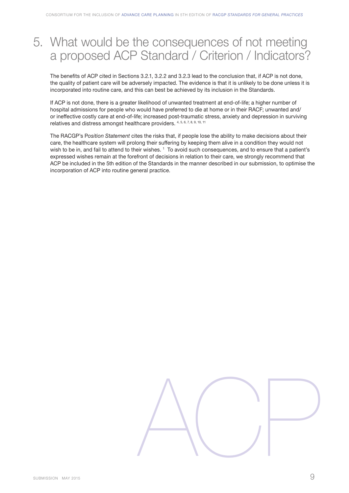# 5. What would be the consequences of not meeting a proposed ACP Standard / Criterion / Indicators?

The benefits of ACP cited in Sections 3.2.1, 3.2.2 and 3.2.3 lead to the conclusion that, if ACP is not done, the quality of patient care will be adversely impacted. The evidence is that it is unlikely to be done unless it is incorporated into routine care, and this can best be achieved by its inclusion in the Standards.

If ACP is not done, there is a greater likelihood of unwanted treatment at end-of-life; a higher number of hospital admissions for people who would have preferred to die at home or in their RACF; unwanted and/ or ineffective costly care at end-of-life; increased post-traumatic stress, anxiety and depression in surviving relatives and distress amongst healthcare providers. 4, 5, 6, 7, 8, 9, 10, 11

The RACGP's P*osition Statement* cites the risks that, if people lose the ability to make decisions about their care, the healthcare system will prolong their suffering by keeping them alive in a condition they would not wish to be in, and fail to attend to their wishes.  $^{\rm 1}$  To avoid such consequences, and to ensure that a patient's expressed wishes remain at the forefront of decisions in relation to their care, we strongly recommend that ACP be included in the 5th edition of the Standards in the manner described in our submission, to optimise the incorporation of ACP into routine general practice.